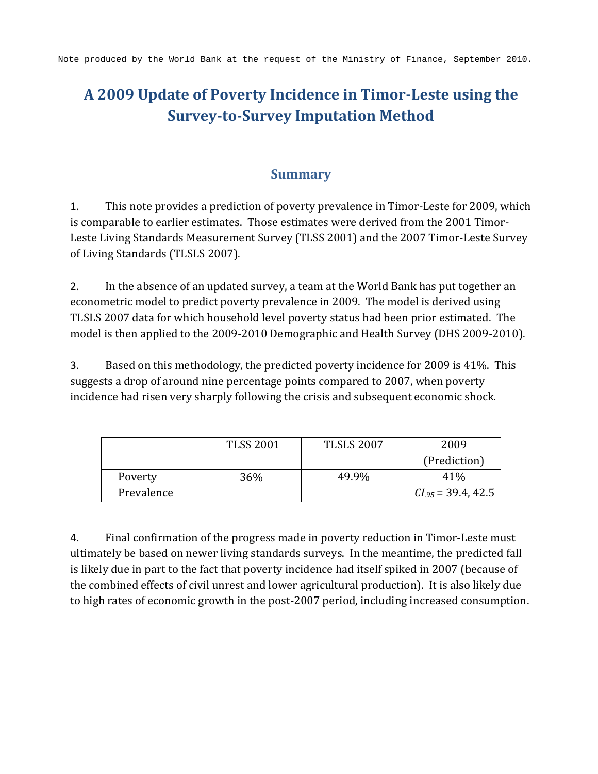# **A 2009 Update of Poverty Incidence in Timor-Leste using the Survey-to-Survey Imputation Method**

#### **Summary**

1. This note provides a prediction of poverty prevalence in Timor-Leste for 2009, which is comparable to earlier estimates. Those estimates were derived from the 2001 Timor-Leste Living Standards Measurement Survey (TLSS 2001) and the 2007 Timor-Leste Survey of Living Standards (TLSLS 2007).

2. In the absence of an updated survey, a team at the World Bank has put together an econometric model to predict poverty prevalence in 2009. The model is derived using TLSLS 2007 data for which household level poverty status had been prior estimated. The model is then applied to the 2009-2010 Demographic and Health Survey (DHS 2009-2010).

3. Based on this methodology, the predicted poverty incidence for 2009 is 41%. This suggests a drop of around nine percentage points compared to 2007, when poverty incidence had risen very sharply following the crisis and subsequent economic shock.

|            | <b>TLSS 2001</b> | <b>TLSLS 2007</b> | 2009                    |
|------------|------------------|-------------------|-------------------------|
|            |                  |                   | (Prediction)            |
| Poverty    | 36%              | 49.9%             | 41%                     |
| Prevalence |                  |                   | $CI_{.95} = 39.4, 42.5$ |

4. Final confirmation of the progress made in poverty reduction in Timor-Leste must ultimately be based on newer living standards surveys. In the meantime, the predicted fall is likely due in part to the fact that poverty incidence had itself spiked in 2007 (because of the combined effects of civil unrest and lower agricultural production). It is also likely due to high rates of economic growth in the post-2007 period, including increased consumption.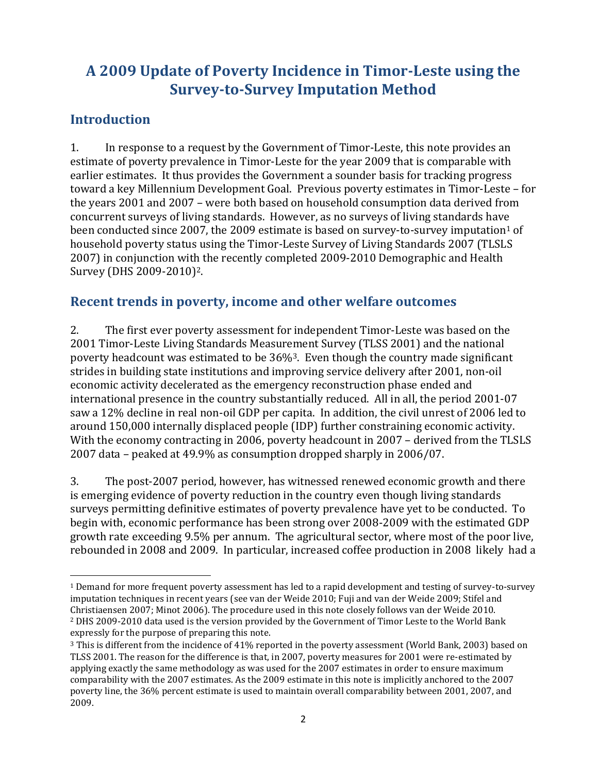# **A 2009 Update of Poverty Incidence in Timor-Leste using the Survey-to-Survey Imputation Method**

#### **Introduction**

l

1. In response to a request by the Government of Timor-Leste, this note provides an estimate of poverty prevalence in Timor-Leste for the year 2009 that is comparable with earlier estimates. It thus provides the Government a sounder basis for tracking progress toward a key Millennium Development Goal. Previous poverty estimates in Timor-Leste – for the years 2001 and 2007 – were both based on household consumption data derived from concurrent surveys of living standards. However, as no surveys of living standards have been conducted since 2007, the 2009 estimate is based on survey-to-survey imputation<sup>1</sup> of household poverty status using the Timor-Leste Survey of Living Standards 2007 (TLSLS 2007) in conjunction with the recently completed 2009-2010 Demographic and Health Survey (DHS 2009-2010)2.

#### **Recent trends in poverty, income and other welfare outcomes**

2. The first ever poverty assessment for independent Timor-Leste was based on the 2001 Timor-Leste Living Standards Measurement Survey (TLSS 2001) and the national poverty headcount was estimated to be 36%3. Even though the country made significant strides in building state institutions and improving service delivery after 2001, non-oil economic activity decelerated as the emergency reconstruction phase ended and international presence in the country substantially reduced. All in all, the period 2001-07 saw a 12% decline in real non-oil GDP per capita. In addition, the civil unrest of 2006 led to around 150,000 internally displaced people (IDP) further constraining economic activity. With the economy contracting in 2006, poverty headcount in 2007 – derived from the TLSLS 2007 data – peaked at 49.9% as consumption dropped sharply in 2006/07.

3. The post-2007 period, however, has witnessed renewed economic growth and there is emerging evidence of poverty reduction in the country even though living standards surveys permitting definitive estimates of poverty prevalence have yet to be conducted. To begin with, economic performance has been strong over 2008-2009 with the estimated GDP growth rate exceeding 9.5% per annum. The agricultural sector, where most of the poor live, rebounded in 2008 and 2009. In particular, increased coffee production in 2008 likely had a

<sup>1</sup> Demand for more frequent poverty assessment has led to a rapid development and testing of survey-to-survey imputation techniques in recent years (see van der Weide 2010; Fuji and van der Weide 2009; Stifel and Christiaensen 2007; Minot 2006). The procedure used in this note closely follows van der Weide 2010. <sup>2</sup> DHS 2009-2010 data used is the version provided by the Government of Timor Leste to the World Bank expressly for the purpose of preparing this note.

<sup>3</sup> This is different from the incidence of 41% reported in the poverty assessment (World Bank, 2003) based on TLSS 2001. The reason for the difference is that, in 2007, poverty measures for 2001 were re-estimated by applying exactly the same methodology as was used for the 2007 estimates in order to ensure maximum comparability with the 2007 estimates. As the 2009 estimate in this note is implicitly anchored to the 2007 poverty line, the 36% percent estimate is used to maintain overall comparability between 2001, 2007, and 2009.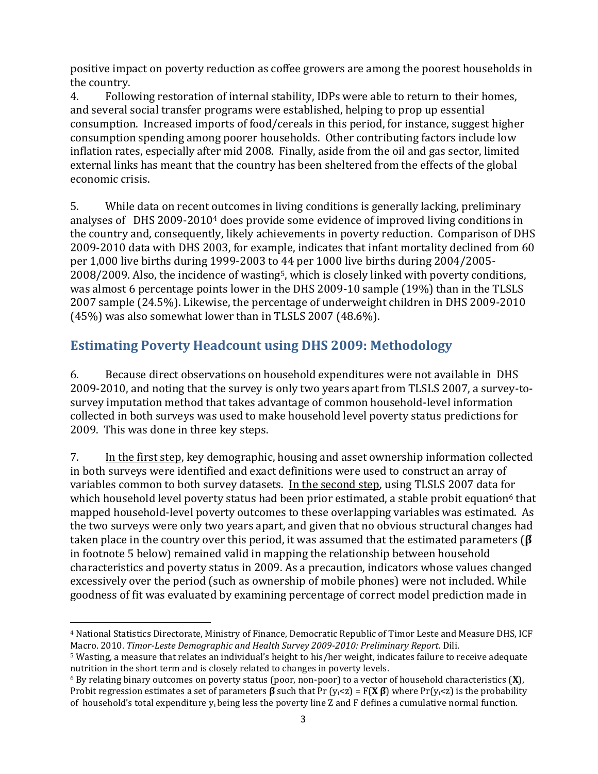positive impact on poverty reduction as coffee growers are among the poorest households in the country.

4. Following restoration of internal stability, IDPs were able to return to their homes, and several social transfer programs were established, helping to prop up essential consumption. Increased imports of food/cereals in this period, for instance, suggest higher consumption spending among poorer households. Other contributing factors include low inflation rates, especially after mid 2008. Finally, aside from the oil and gas sector, limited external links has meant that the country has been sheltered from the effects of the global economic crisis.

5. While data on recent outcomes in living conditions is generally lacking, preliminary analyses of DHS 2009-2010<sup>4</sup> does provide some evidence of improved living conditions in the country and, consequently, likely achievements in poverty reduction. Comparison of DHS 2009-2010 data with DHS 2003, for example, indicates that infant mortality declined from 60 per 1,000 live births during 1999-2003 to 44 per 1000 live births during 2004/2005- 2008/2009. Also, the incidence of wasting5, which is closely linked with poverty conditions, was almost 6 percentage points lower in the DHS 2009-10 sample (19%) than in the TLSLS 2007 sample (24.5%). Likewise, the percentage of underweight children in DHS 2009-2010 (45%) was also somewhat lower than in TLSLS 2007 (48.6%).

## **Estimating Poverty Headcount using DHS 2009: Methodology**

6. Because direct observations on household expenditures were not available in DHS 2009-2010, and noting that the survey is only two years apart from TLSLS 2007, a survey-tosurvey imputation method that takes advantage of common household-level information collected in both surveys was used to make household level poverty status predictions for 2009. This was done in three key steps.

7. In the first step, key demographic, housing and asset ownership information collected in both surveys were identified and exact definitions were used to construct an array of variables common to both survey datasets. In the second step, using TLSLS 2007 data for which household level poverty status had been prior estimated, a stable probit equation<sup>6</sup> that mapped household-level poverty outcomes to these overlapping variables was estimated. As the two surveys were only two years apart, and given that no obvious structural changes had taken place in the country over this period, it was assumed that the estimated parameters (**β**  in footnote 5 below) remained valid in mapping the relationship between household characteristics and poverty status in 2009. As a precaution, indicators whose values changed excessively over the period (such as ownership of mobile phones) were not included. While goodness of fit was evaluated by examining percentage of correct model prediction made in

 $\overline{\phantom{a}}$ <sup>4</sup> National Statistics Directorate, Ministry of Finance, Democratic Republic of Timor Leste and Measure DHS, ICF Macro. 2010. *Timor-Leste Demographic and Health Survey 2009-2010: Preliminary Report*. Dili.

<sup>5</sup> Wasting, a measure that relates an individual's height to his/her weight, indicates failure to receive adequate nutrition in the short term and is closely related to changes in poverty levels.

<sup>6</sup> By relating binary outcomes on poverty status (poor, non-poor) to a vector of household characteristics (**X**), Probit regression estimates a set of parameters **β** such that Pr (yi<z) = F(**X β** ) where Pr(yi<z) is the probability of household's total expenditure  $y_i$  being less the poverty line Z and F defines a cumulative normal function.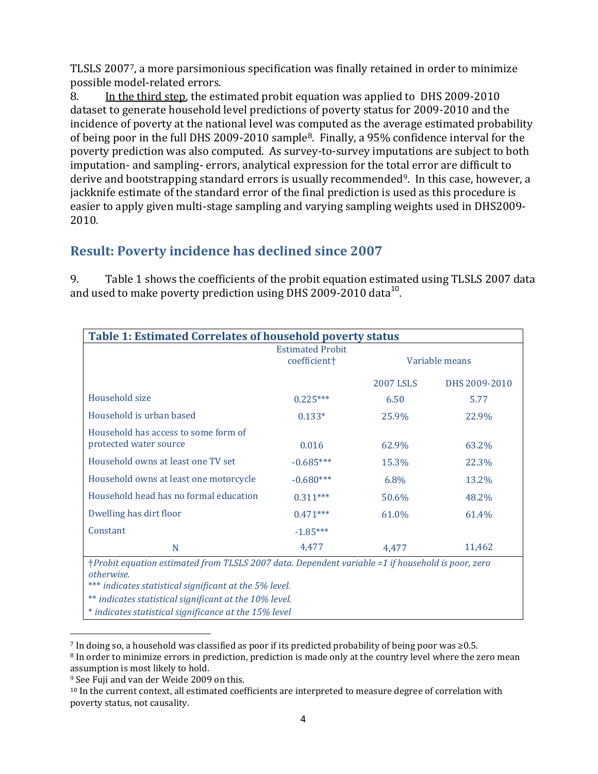TLSLS 20077, a more parsimonious specification was finally retained in order to minimize possible model-related errors.

8. In the third step, the estimated probit equation was applied to DHS 2009-2010 dataset to generate household level predictions of poverty status for 2009-2010 and the incidence of poverty at the national level was computed as the average estimated probability of being poor in the full DHS 2009-2010 sample8. Finally, a 95% confidence interval for the poverty prediction was also computed. As survey-to-survey imputations are subject to both imputation- and sampling- errors, analytical expression for the total error are difficult to derive and bootstrapping standard errors is usually recommended<sup>9</sup>. In this case, however, a jackknife estimate of the standard error of the final prediction is used as this procedure is easier to apply given multi-stage sampling and varying sampling weights used in DHS2009- 2010.

## **Result: Poverty incidence has declined since 2007**

9. Table 1 shows the coefficients of the probit equation estimated using TLSLS 2007 data and used to make poverty prediction using DHS 2009-2010 data $^{10}$ .

| <b>Table 1: Estimated Correlates of household poverty status</b>                                  |                                                     |                  |               |  |  |  |
|---------------------------------------------------------------------------------------------------|-----------------------------------------------------|------------------|---------------|--|--|--|
|                                                                                                   | <b>Estimated Probit</b><br>coefficient <sup>+</sup> | Variable means   |               |  |  |  |
|                                                                                                   |                                                     |                  |               |  |  |  |
|                                                                                                   |                                                     | <b>2007 LSLS</b> | DHS 2009-2010 |  |  |  |
| Household size                                                                                    | $0.225***$                                          | 6.50             | 5.77          |  |  |  |
| Household is urban based                                                                          | $0.133*$                                            | 25.9%            | 22.9%         |  |  |  |
| Household has access to some form of                                                              |                                                     |                  |               |  |  |  |
| protected water source                                                                            | 0.016                                               | 62.9%            | 63.2%         |  |  |  |
| Household owns at least one TV set                                                                | $-0.685***$                                         | 15.3%            | 22.3%         |  |  |  |
| Household owns at least one motorcycle                                                            | $-0.680***$                                         | 6.8%             | 13.2%         |  |  |  |
| Household head has no formal education                                                            | $0.311***$                                          | 50.6%            | 48.2%         |  |  |  |
| Dwelling has dirt floor                                                                           | $0.471***$                                          | 61.0%            | 61.4%         |  |  |  |
| Constant                                                                                          | $-1.85***$                                          |                  |               |  |  |  |
| N                                                                                                 | 4,477                                               | 4,477            | 11,462        |  |  |  |
| †Probit equation estimated from TLSLS 2007 data. Dependent variable =1 if household is poor, zero |                                                     |                  |               |  |  |  |
| otherwise.                                                                                        |                                                     |                  |               |  |  |  |
| *** indicates statistical significant at the 5% level.                                            |                                                     |                  |               |  |  |  |
| ** indicates statistical significant at the 10% level.                                            |                                                     |                  |               |  |  |  |
| * indicates statistical significance at the 15% level                                             |                                                     |                  |               |  |  |  |

 $\overline{\phantom{a}}$ <sup>7</sup> In doing so, a household was classified as poor if its predicted probability of being poor was ≥0.5.

<sup>8</sup> In order to minimize errors in prediction, prediction is made only at the country level where the zero mean assumption is most likely to hold.

<sup>9</sup> See Fuji and van der Weide 2009 on this.

<sup>&</sup>lt;sup>10</sup> In the current context, all estimated coefficients are interpreted to measure degree of correlation with poverty status, not causality.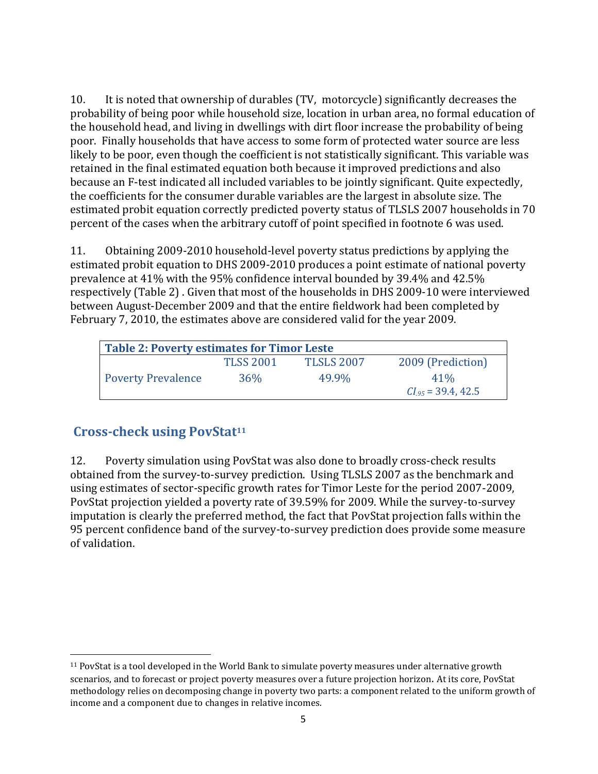10. It is noted that ownership of durables (TV, motorcycle) significantly decreases the probability of being poor while household size, location in urban area, no formal education of the household head, and living in dwellings with dirt floor increase the probability of being poor. Finally households that have access to some form of protected water source are less likely to be poor, even though the coefficient is not statistically significant. This variable was retained in the final estimated equation both because it improved predictions and also because an F-test indicated all included variables to be jointly significant. Quite expectedly, the coefficients for the consumer durable variables are the largest in absolute size. The estimated probit equation correctly predicted poverty status of TLSLS 2007 households in 70 percent of the cases when the arbitrary cutoff of point specified in footnote 6 was used.

11. Obtaining 2009-2010 household-level poverty status predictions by applying the estimated probit equation to DHS 2009-2010 produces a point estimate of national poverty prevalence at 41% with the 95% confidence interval bounded by 39.4% and 42.5% respectively (Table 2) . Given that most of the households in DHS 2009-10 were interviewed between August-December 2009 and that the entire fieldwork had been completed by February 7, 2010, the estimates above are considered valid for the year 2009.

| <b>Table 2: Poverty estimates for Timor Leste</b> |                  |            |                         |  |  |  |
|---------------------------------------------------|------------------|------------|-------------------------|--|--|--|
|                                                   | <b>TLSS 2001</b> | TLSLS 2007 | 2009 (Prediction)       |  |  |  |
| <b>Poverty Prevalence</b>                         | 36%              | 49.9%      | $41\%$                  |  |  |  |
|                                                   |                  |            | $CI_{.95} = 39.4, 42.5$ |  |  |  |

## **Cross-check using PovStat<sup>11</sup>**

 $\overline{\phantom{a}}$ 

12. Poverty simulation using PovStat was also done to broadly cross-check results obtained from the survey-to-survey prediction. Using TLSLS 2007 as the benchmark and using estimates of sector-specific growth rates for Timor Leste for the period 2007-2009, PovStat projection yielded a poverty rate of 39.59% for 2009. While the survey-to-survey imputation is clearly the preferred method, the fact that PovStat projection falls within the 95 percent confidence band of the survey-to-survey prediction does provide some measure of validation.

<sup>11</sup> PovStat is a tool developed in the World Bank to simulate poverty measures under alternative growth scenarios, and to forecast or project poverty measures over a future projection horizon. At its core, PovStat methodology relies on decomposing change in poverty two parts: a component related to the uniform growth of income and a component due to changes in relative incomes.